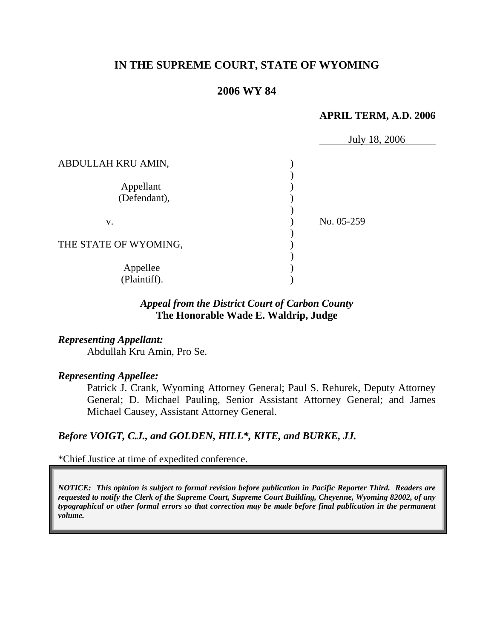# **IN THE SUPREME COURT, STATE OF WYOMING**

### **2006 WY 84**

#### **APRIL TERM, A.D. 2006**

|                           | July 18, 2006 |
|---------------------------|---------------|
| ABDULLAH KRU AMIN,        |               |
| Appellant<br>(Defendant), |               |
| V.                        | No. 05-259    |
| THE STATE OF WYOMING,     |               |
| Appellee<br>(Plaintiff).  |               |

### *Appeal from the District Court of Carbon County* **The Honorable Wade E. Waldrip, Judge**

### *Representing Appellant:*

Abdullah Kru Amin, Pro Se.

### *Representing Appellee:*

Patrick J. Crank, Wyoming Attorney General; Paul S. Rehurek, Deputy Attorney General; D. Michael Pauling, Senior Assistant Attorney General; and James Michael Causey, Assistant Attorney General.

# *Before VOIGT, C.J., and GOLDEN, HILL\*, KITE, and BURKE, JJ.*

\*Chief Justice at time of expedited conference.

*NOTICE: This opinion is subject to formal revision before publication in Pacific Reporter Third. Readers are requested to notify the Clerk of the Supreme Court, Supreme Court Building, Cheyenne, Wyoming 82002, of any typographical or other formal errors so that correction may be made before final publication in the permanent volume.*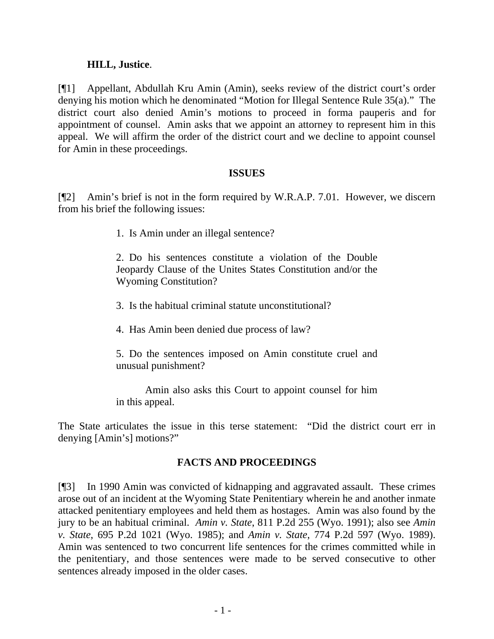### **HILL, Justice**.

[¶1] Appellant, Abdullah Kru Amin (Amin), seeks review of the district court's order denying his motion which he denominated "Motion for Illegal Sentence Rule 35(a)." The district court also denied Amin's motions to proceed in forma pauperis and for appointment of counsel. Amin asks that we appoint an attorney to represent him in this appeal. We will affirm the order of the district court and we decline to appoint counsel for Amin in these proceedings.

### **ISSUES**

[¶2] Amin's brief is not in the form required by W.R.A.P. 7.01. However, we discern from his brief the following issues:

1. Is Amin under an illegal sentence?

2. Do his sentences constitute a violation of the Double Jeopardy Clause of the Unites States Constitution and/or the Wyoming Constitution?

- 3. Is the habitual criminal statute unconstitutional?
- 4. Has Amin been denied due process of law?
- 5. Do the sentences imposed on Amin constitute cruel and unusual punishment?

 Amin also asks this Court to appoint counsel for him in this appeal.

The State articulates the issue in this terse statement: "Did the district court err in denying [Amin's] motions?"

## **FACTS AND PROCEEDINGS**

[¶3] In 1990 Amin was convicted of kidnapping and aggravated assault. These crimes arose out of an incident at the Wyoming State Penitentiary wherein he and another inmate attacked penitentiary employees and held them as hostages. Amin was also found by the jury to be an habitual criminal. *Amin v. State*, 811 P.2d 255 (Wyo. 1991); also see *Amin v. State*, 695 P.2d 1021 (Wyo. 1985); and *Amin v. State*, 774 P.2d 597 (Wyo. 1989). Amin was sentenced to two concurrent life sentences for the crimes committed while in the penitentiary, and those sentences were made to be served consecutive to other sentences already imposed in the older cases.